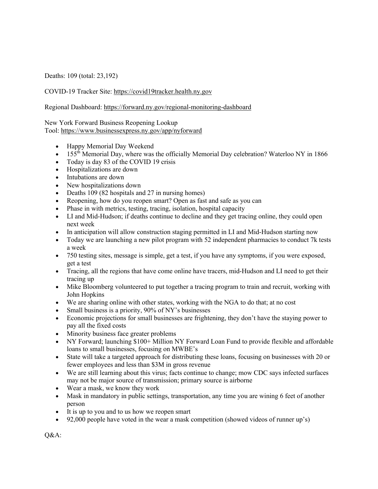Deaths: 109 (total: 23,192)

COVID-19 Tracker Site: https://covid19tracker.health.ny.gov

Regional Dashboard: https://forward.ny.gov/regional-monitoring-dashboard

New York Forward Business Reopening Lookup Tool: https://www.businessexpress.ny.gov/app/nyforward

- Happy Memorial Day Weekend
- 155<sup>th</sup> Memorial Day, where was the officially Memorial Day celebration? Waterloo NY in 1866
- Today is day 83 of the COVID 19 crisis
- Hospitalizations are down
- Intubations are down
- New hospitalizations down
- Deaths 109 (82 hospitals and 27 in nursing homes)
- Reopening, how do you reopen smart? Open as fast and safe as you can
- Phase in with metrics, testing, tracing, isolation, hospital capacity
- LI and Mid-Hudson; if deaths continue to decline and they get tracing online, they could open next week
- In anticipation will allow construction staging permitted in LI and Mid-Hudson starting now
- Today we are launching a new pilot program with 52 independent pharmacies to conduct 7k tests a week
- 750 testing sites, message is simple, get a test, if you have any symptoms, if you were exposed, get a test
- Tracing, all the regions that have come online have tracers, mid-Hudson and LI need to get their tracing up
- Mike Bloomberg volunteered to put together a tracing program to train and recruit, working with John Hopkins
- We are sharing online with other states, working with the NGA to do that; at no cost
- Small business is a priority, 90% of NY's businesses
- Economic projections for small businesses are frightening, they don't have the staying power to pay all the fixed costs
- Minority business face greater problems
- NY Forward; launching \$100+ Million NY Forward Loan Fund to provide flexible and affordable loans to small businesses, focusing on MWBE's
- State will take a targeted approach for distributing these loans, focusing on businesses with 20 or fewer employees and less than \$3M in gross revenue
- We are still learning about this virus; facts continue to change; mow CDC says infected surfaces may not be major source of transmission; primary source is airborne
- Wear a mask, we know they work
- Mask in mandatory in public settings, transportation, any time you are wining 6 feet of another person
- It is up to you and to us how we reopen smart
- 92,000 people have voted in the wear a mask competition (showed videos of runner up's)

Q&A: